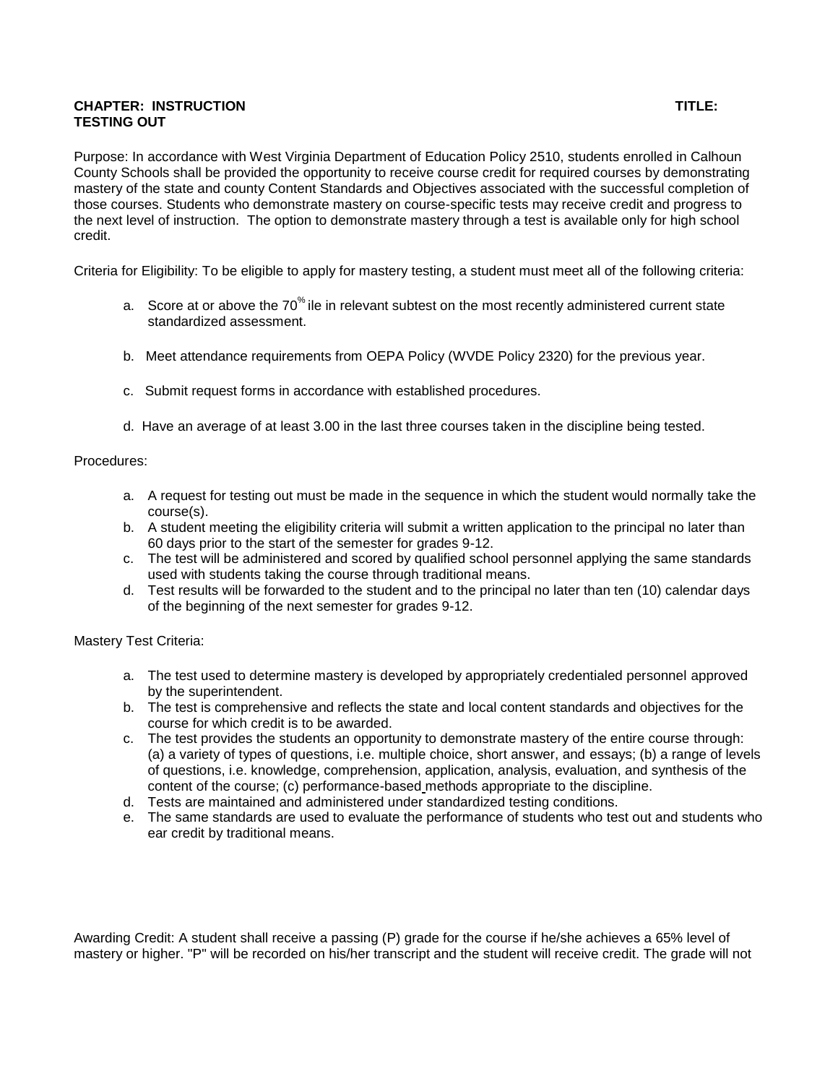## **CHAPTER: INSTRUCTION TITLE: TESTING OUT**

Purpose: In accordance with West Virginia Department of Education Policy 2510, students enrolled in Calhoun County Schools shall be provided the opportunity to receive course credit for required courses by demonstrating mastery of the state and county Content Standards and Objectives associated with the successful completion of those courses. Students who demonstrate mastery on course-specific tests may receive credit and progress to the next level of instruction. The option to demonstrate mastery through a test is available only for high school credit.

Criteria for Eligibility: To be eligible to apply for mastery testing, a student must meet all of the following criteria:

- a. Score at or above the 70<sup>%</sup> ile in relevant subtest on the most recently administered current state standardized assessment.
- b. Meet attendance requirements from OEPA Policy (WVDE Policy 2320) for the previous year.
- c. Submit request forms in accordance with established procedures.
- d. Have an average of at least 3.00 in the last three courses taken in the discipline being tested.

## Procedures:

- a. A request for testing out must be made in the sequence in which the student would normally take the course(s).
- b. A student meeting the eligibility criteria will submit a written application to the principal no later than 60 days prior to the start of the semester for grades 9-12.
- c. The test will be administered and scored by qualified school personnel applying the same standards used with students taking the course through traditional means.
- d. Test results will be forwarded to the student and to the principal no later than ten (10) calendar days of the beginning of the next semester for grades 9-12.

## Mastery Test Criteria:

- a. The test used to determine mastery is developed by appropriately credentialed personnel approved by the superintendent.
- b. The test is comprehensive and reflects the state and local content standards and objectives for the course for which credit is to be awarded.
- c. The test provides the students an opportunity to demonstrate mastery of the entire course through: (a) a variety of types of questions, i.e. multiple choice, short answer, and essays; (b) a range of levels of questions, i.e. knowledge, comprehension, application, analysis, evaluation, and synthesis of the content of the course; (c) performance-based methods appropriate to the discipline.
- d. Tests are maintained and administered under standardized testing conditions.
- e. The same standards are used to evaluate the performance of students who test out and students who ear credit by traditional means.

Awarding Credit: A student shall receive a passing (P) grade for the course if he/she achieves a 65% level of mastery or higher. "P" will be recorded on his/her transcript and the student will receive credit. The grade will not